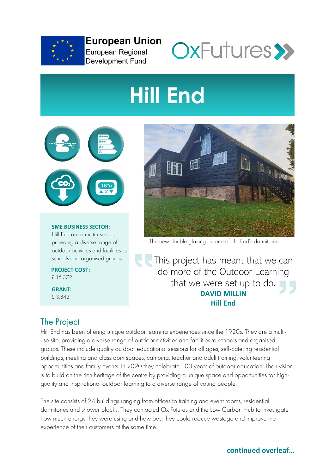

**European Union** European Regional **Development Fund** 



# **Hill End**



#### **SME BUSINESS SECTOR:** Hill End are a multi-use site, providing a diverse range of outdoor activities and facilities to schools and organised groups.

**PROJECT COST:** £ 15,372

**GRANT:** £ 3,843



The new double glazing on one of Hill End's dormitories.

This project has meant that we can do more of the Outdoor Learning that we were set up to do. **DAVID MILLIN Hill End**

## The Project

Hill End has been offering unique outdoor learning experiences since the 1920s. They are a multiuse site, providing a diverse range of outdoor activities and facilities to schools and organised groups. These include quality outdoor educational sessions for all ages, self-catering residential buildings, meeting and classroom spaces, camping, teacher and adult training, volunteering opportunities and family events. In 2020 they celebrate 100 years of outdoor education. Their vision is to build on the rich heritage of the centre by providing a unique space and opportunities for highquality and inspirational outdoor learning to a diverse range of young people.

The site consists of 24 buildings ranging from offices to training and event rooms, residential dormitories and shower blocks. They contacted Ox Futures and the Low Carbon Hub to investigate how much energy they were using and how best they could reduce wastage and improve the experience of their customers at the same time.